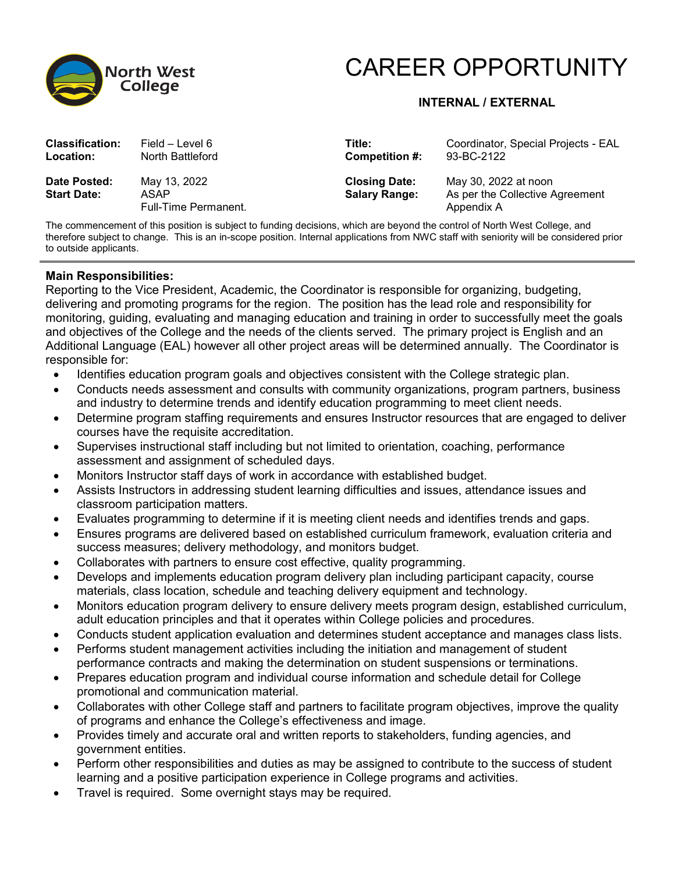

## CAREER OPPORTUNITY

## **INTERNAL / EXTERNAL**

| <b>Classification:</b>             | Field – Level 6                                     | Title:                                       | Coordinator, Special Projects - EAL                                   |
|------------------------------------|-----------------------------------------------------|----------------------------------------------|-----------------------------------------------------------------------|
| <b>Location:</b>                   | North Battleford                                    | Competition #:                               | 93-BC-2122                                                            |
| Date Posted:<br><b>Start Date:</b> | May 13, 2022<br>ASAP<br><b>Full-Time Permanent.</b> | <b>Closing Date:</b><br><b>Salary Range:</b> | May 30, 2022 at noon<br>As per the Collective Agreement<br>Appendix A |

The commencement of this position is subject to funding decisions, which are beyond the control of North West College, and therefore subject to change. This is an in-scope position. Internal applications from NWC staff with seniority will be considered prior to outside applicants.

## **Main Responsibilities:**

Reporting to the Vice President, Academic, the Coordinator is responsible for organizing, budgeting, delivering and promoting programs for the region. The position has the lead role and responsibility for monitoring, guiding, evaluating and managing education and training in order to successfully meet the goals and objectives of the College and the needs of the clients served. The primary project is English and an Additional Language (EAL) however all other project areas will be determined annually. The Coordinator is responsible for:

- Identifies education program goals and objectives consistent with the College strategic plan.
- Conducts needs assessment and consults with community organizations, program partners, business and industry to determine trends and identify education programming to meet client needs.
- Determine program staffing requirements and ensures Instructor resources that are engaged to deliver courses have the requisite accreditation.
- Supervises instructional staff including but not limited to orientation, coaching, performance assessment and assignment of scheduled days.
- Monitors Instructor staff days of work in accordance with established budget.
- Assists Instructors in addressing student learning difficulties and issues, attendance issues and classroom participation matters.
- Evaluates programming to determine if it is meeting client needs and identifies trends and gaps.
- Ensures programs are delivered based on established curriculum framework, evaluation criteria and success measures; delivery methodology, and monitors budget.
- Collaborates with partners to ensure cost effective, quality programming.
- Develops and implements education program delivery plan including participant capacity, course materials, class location, schedule and teaching delivery equipment and technology.
- Monitors education program delivery to ensure delivery meets program design, established curriculum, adult education principles and that it operates within College policies and procedures.
- Conducts student application evaluation and determines student acceptance and manages class lists.
- Performs student management activities including the initiation and management of student performance contracts and making the determination on student suspensions or terminations.
- Prepares education program and individual course information and schedule detail for College promotional and communication material.
- Collaborates with other College staff and partners to facilitate program objectives, improve the quality of programs and enhance the College's effectiveness and image.
- Provides timely and accurate oral and written reports to stakeholders, funding agencies, and government entities.
- Perform other responsibilities and duties as may be assigned to contribute to the success of student learning and a positive participation experience in College programs and activities.
- Travel is required. Some overnight stays may be required.